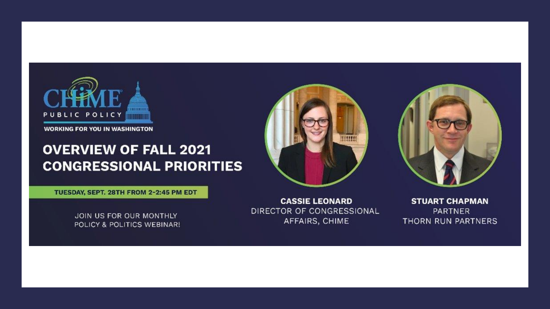

**WORKING FOR YOU IN WASHINGTON** 

#### **OVERVIEW OF FALL 2021 CONGRESSIONAL PRIORITIES**



TUESDAY, SEPT. 28TH FROM 2-2:45 PM EDT

JOIN US FOR OUR MONTHLY POLICY & POLITICS WEBINAR!

**CASSIE LEONARD** DIRECTOR OF CONGRESSIONAL AFFAIRS, CHIME

**STUART CHAPMAN PARTNER** THORN RUN PARTNERS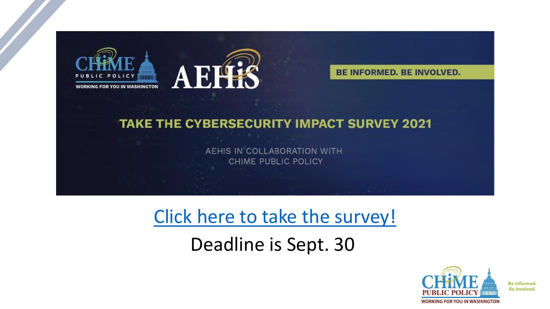



**BE INFORMED. BE INVOLVED.** 

#### **TAKE THE CYBERSECURITY IMPACT SURVEY 2021**

AEHIS IN COLLABORATION WITH **CHIME PUBLIC POLICY** 

### [Click here to take the survey!](https://l9x7yz61ozs.typeform.com/to/veOOuf5X)

Deadline is Sept. 30

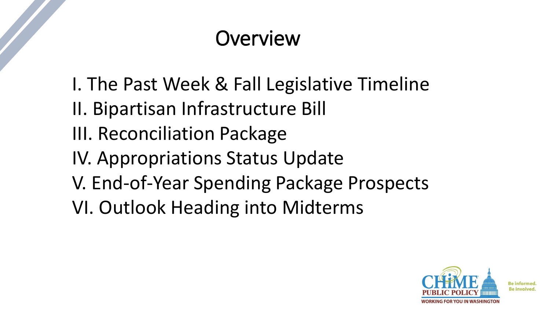## **Overview**

- I. The Past Week & Fall Legislative Timeline
- II. Bipartisan Infrastructure Bill
- III. Reconciliation Package
- IV. Appropriations Status Update
- V. End-of-Year Spending Package Prospects
- VI. Outlook Heading into Midterms

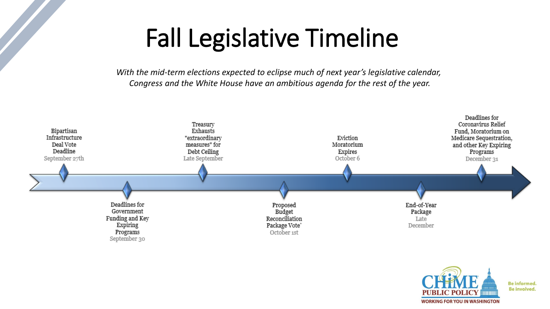# Fall Legislative Timeline

*With the mid-term elections expected to eclipse much of next year's legislative calendar, Congress and the White House have an ambitious agenda for the rest of the year.*



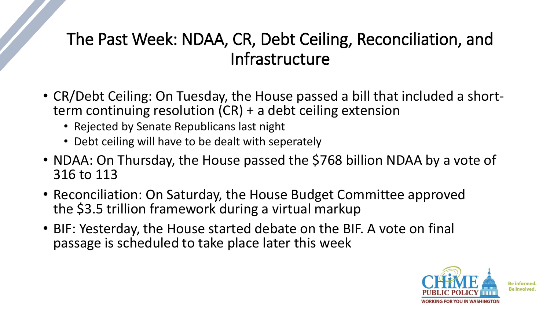### The Past Week: NDAA, CR, Debt Ceiling, Reconciliation, and Infrastructure

- CR/Debt Ceiling: On Tuesday, the House passed a bill that included a shortterm continuing resolution (CR) + a debt ceiling extension
	- Rejected by Senate Republicans last night
	- Debt ceiling will have to be dealt with seperately
- NDAA: On Thursday, the House passed the \$768 billion NDAA by a vote of 316 to 113
- Reconciliation: On Saturday, the House Budget Committee approved the \$3.5 trillion framework during a virtual markup
- BIF: Yesterday, the House started debate on the BIF. A vote on final passage is scheduled to take place later this week

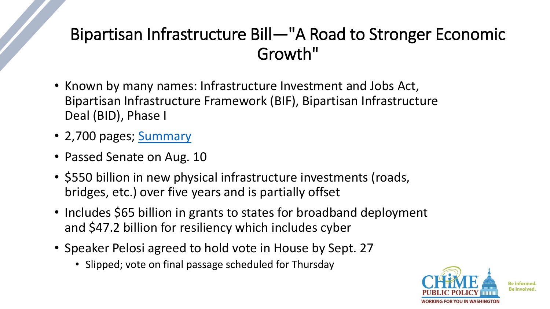### Bipartisan Infrastructure Bill—"A Road to Stronger Economic Growth"

- Known by many names: Infrastructure Investment and Jobs Act, Bipartisan Infrastructure Framework (BIF), Bipartisan Infrastructure Deal (BID), Phase I
- 2,700 pages; [Summary](https://www.manchin.senate.gov/imo/media/doc/bipartisan_infrastructure_bill_section_by_section.pdf?cb)
- Passed Senate on Aug. 10
- \$550 billion in new physical infrastructure investments (roads, bridges, etc.) over five years and is partially offset
- Includes \$65 billion in grants to states for broadband deployment and \$47.2 billion for resiliency which includes cyber
- Speaker Pelosi agreed to hold vote in House by Sept. 27
	- Slipped; vote on final passage scheduled for Thursday

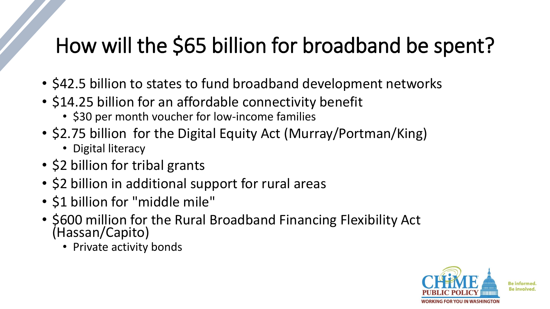## How will the \$65 billion for broadband be spent?

- \$42.5 billion to states to fund broadband development networks
- \$14.25 billion for an affordable connectivity benefit
	- \$30 per month voucher for low-income families
- \$2.75 billion for the Digital Equity Act (Murray/Portman/King)
	- Digital literacy
- \$2 billion for tribal grants
- \$2 billion in additional support for rural areas
- \$1 billion for "middle mile"
- \$600 million for the Rural Broadband Financing Flexibility Act (Hassan/Capito)
	- Private activity bonds

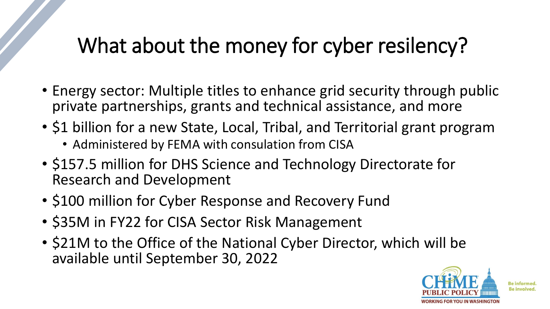## What about the money for cyber resilency?

- Energy sector: Multiple titles to enhance grid security through public private partnerships, grants and technical assistance, and more
- \$1 billion for a new State, Local, Tribal, and Territorial grant program
	- Administered by FEMA with consulation from CISA
- \$157.5 million for DHS Science and Technology Directorate for Research and Development
- \$100 million for Cyber Response and Recovery Fund
- \$35M in FY22 for CISA Sector Risk Management
- \$21M to the Office of the National Cyber Director, which will be available until September 30, 2022

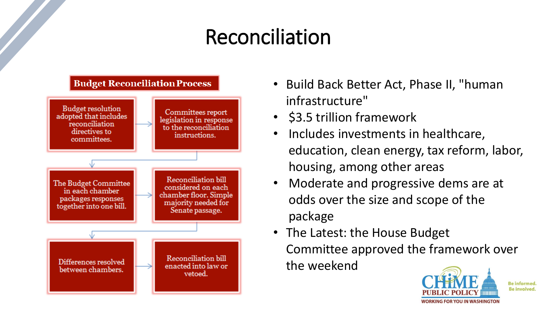## Reconciliation



- Build Back Better Act, Phase II, "human infrastructure"
- \$3.5 trillion framework
- Includes investments in healthcare, education, clean energy, tax reform, labor, housing, among other areas
- Moderate and progressive dems are at odds over the size and scope of the package
- The Latest: the House Budget Committee approved the framework over the weekend

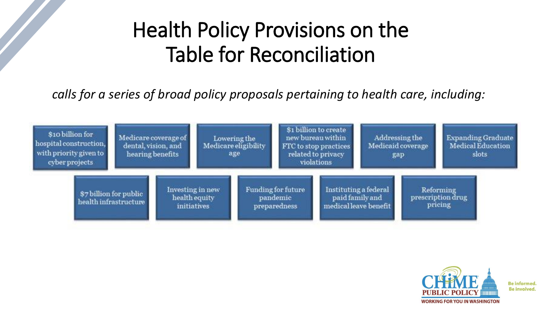## Health Policy Provisions on the Table for Reconciliation

*calls for a series of broad policy proposals pertaining to health care, including:*



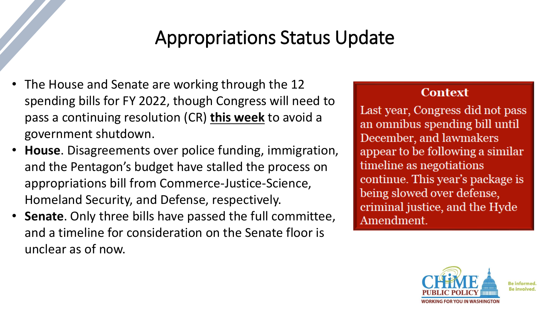### Appropriations Status Update

- The House and Senate are working through the 12 spending bills for FY 2022, though Congress will need to pass a continuing resolution (CR) **this week** to avoid a government shutdown.
- **House**. Disagreements over police funding, immigration, and the Pentagon's budget have stalled the process on appropriations bill from Commerce-Justice-Science, Homeland Security, and Defense, respectively.
- **Senate**. Only three bills have passed the full committee, and a timeline for consideration on the Senate floor is unclear as of now.

#### **Context**

Last year, Congress did not pass an omnibus spending bill until December, and lawmakers appear to be following a similar timeline as negotiations continue. This year's package is being slowed over defense, criminal justice, and the Hyde Amendment.

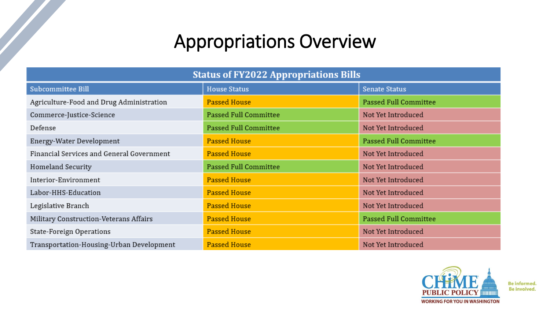### Appropriations Overview

| <b>Status of FY2022 Appropriations Bills</b> |                       |                       |
|----------------------------------------------|-----------------------|-----------------------|
| <b>Subcommittee Bill</b>                     | <b>House Status</b>   | <b>Senate Status</b>  |
| Agriculture-Food and Drug Administration     | <b>Passed House</b>   | Passed Full Committee |
| Commerce-Justice-Science                     | Passed Full Committee | Not Yet Introduced    |
| Defense                                      | Passed Full Committee | Not Yet Introduced    |
| Energy-Water Development                     | <b>Passed House</b>   | Passed Full Committee |
| Financial Services and General Government    | <b>Passed House</b>   | Not Yet Introduced    |
| Homeland Security                            | Passed Full Committee | Not Yet Introduced    |
| Interior-Environment                         | <b>Passed House</b>   | Not Yet Introduced    |
| Labor-HHS-Education                          | <b>Passed House</b>   | Not Yet Introduced    |
| Legislative Branch                           | <b>Passed House</b>   | Not Yet Introduced    |
| Military Construction-Veterans Affairs       | <b>Passed House</b>   | Passed Full Committee |
| State-Foreign Operations                     | <b>Passed House</b>   | Not Yet Introduced    |
| Transportation-Housing-Urban Development     | <b>Passed House</b>   | Not Yet Introduced    |

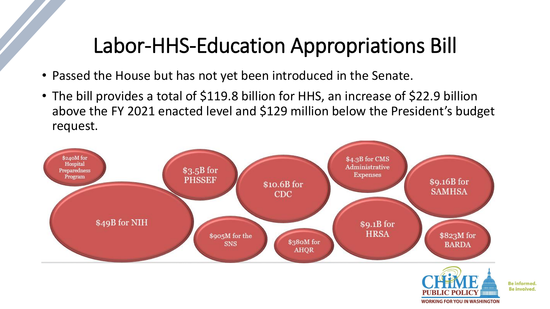### Labor-HHS-Education Appropriations Bill

- Passed the House but has not yet been introduced in the Senate.
- The bill provides a total of \$119.8 billion for HHS, an increase of \$22.9 billion above the FY 2021 enacted level and \$129 million below the President's budget request.



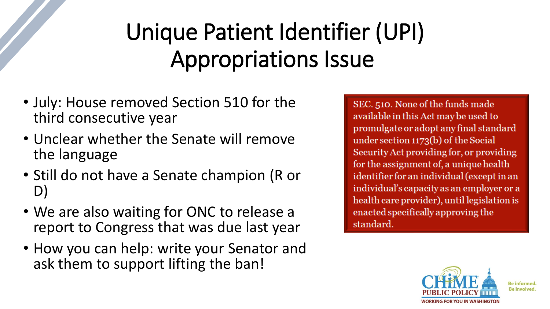# Unique Patient Identifier (UPI) Appropriations Issue

- July: House removed Section 510 for the third consecutive year
- Unclear whether the Senate will remove the language
- Still do not have a Senate champion (R or D)
- We are also waiting for ONC to release a report to Congress that was due last year
- How you can help: write your Senator and ask them to support lifting the ban!

SEC. 510. None of the funds made available in this Act may be used to promulgate or adopt any final standard under section 1173(b) of the Social Security Act providing for, or providing for the assignment of, a unique health identifier for an individual (except in an individual's capacity as an employer or a health care provider), until legislation is enacted specifically approving the standard.

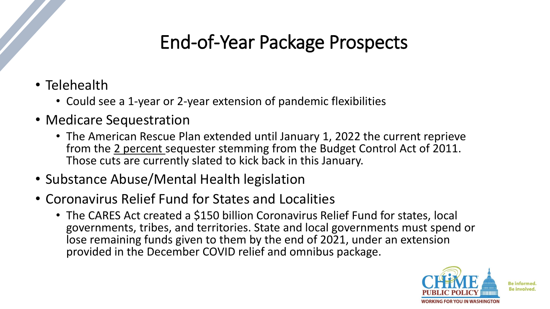### End-of-Year Package Prospects

- Telehealth
	- Could see a 1-year or 2-year extension of pandemic flexibilities
- Medicare Sequestration
	- The American Rescue Plan extended until January 1, 2022 the current reprieve from the 2 percent sequester stemming from the Budget Control Act of 2011. Those cuts are currently slated to kick back in this January.
- Substance Abuse/Mental Health legislation
- Coronavirus Relief Fund for States and Localities
	- The CARES Act created a \$150 billion Coronavirus Relief Fund for states, local governments, tribes, and territories. State and local governments must spend or lose remaining funds given to them by the end of 2021, under an extension provided in the December COVID relief and omnibus package.

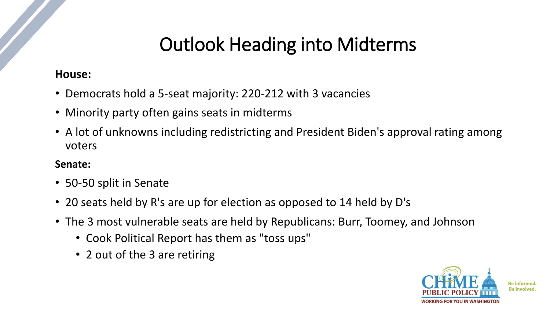### Outlook Heading into Midterms

#### **House:**

- Democrats hold a 5-seat majority: 220-212 with 3 vacancies
- Minority party often gains seats in midterms
- A lot of unknowns including redistricting and President Biden's approval rating among voters

#### **Senate:**

- 50-50 split in Senate
- 20 seats held by R's are up for election as opposed to 14 held by D's
- The 3 most vulnerable seats are held by Republicans: Burr, Toomey, and Johnson
	- Cook Political Report has them as "toss ups"
	- 2 out of the 3 are retiring

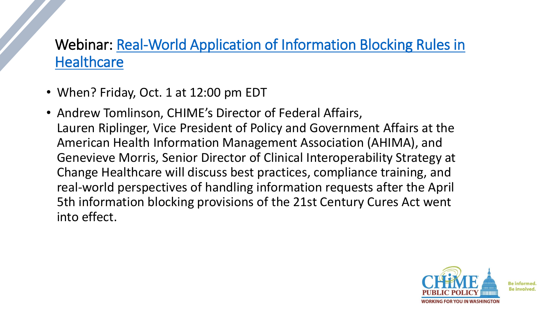### Webinar: Real-World Application of [Information Blocking Rules in](https://inspire.changehealthcare.com/Info-Blocking-Webinar) **Healthcare**

- When? Friday, Oct. 1 at 12:00 pm EDT
- Andrew Tomlinson, CHIME's Director of Federal Affairs, Lauren Riplinger, Vice President of Policy and Government Affairs at the American Health Information Management Association (AHIMA), and Genevieve Morris, Senior Director of Clinical Interoperability Strategy at Change Healthcare will discuss best practices, compliance training, and real-world perspectives of handling information requests after the April 5th information blocking provisions of the 21st Century Cures Act went into effect.

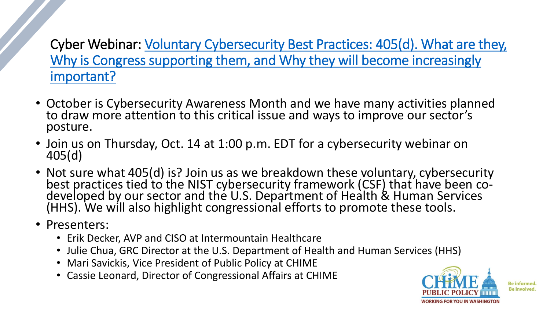[Cyber Webinar: Voluntary Cybersecurity Best Practices: 405\(d\). What are they,](https://chimecentral.zoom.us/webinar/register/WN_sa_ouFKFRba1MqCRP0zlqw) Why is Congress supporting them, and Why they will become increasingly important?

- October is Cybersecurity Awareness Month and we have many activities planned to draw more attention to this critical issue and ways to improve our sector's posture.
- Join us on Thursday, Oct. 14 at 1:00 p.m. EDT for a cybersecurity webinar on 405(d)
- Not sure what 405(d) is? Join us as we breakdown these voluntary, cybersecurity best practices tied to the NIST cybersecurity framework (CSF) that have been codeveloped by our sector and the U.S. Department of Health & Human Services (HHS). We will also highlight congressional efforts to promote these tools.
- Presenters:
	- Erik Decker, AVP and CISO at Intermountain Healthcare
	- Julie Chua, GRC Director at the U.S. Department of Health and Human Services (HHS)
	- Mari Savickis, Vice President of Public Policy at CHIME
	- Cassie Leonard, Director of Congressional Affairs at CHIME